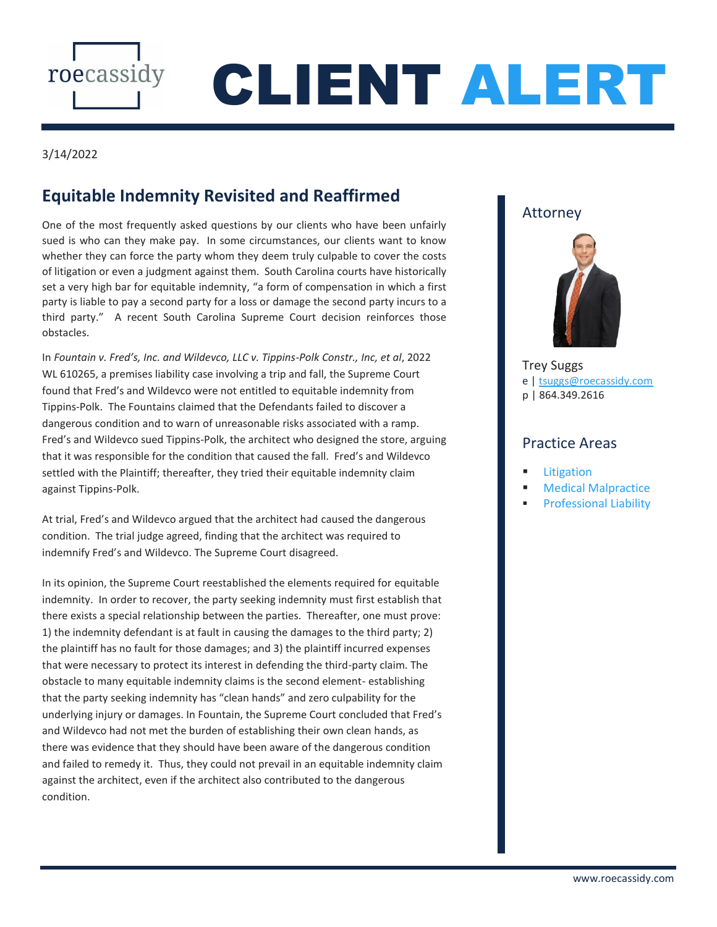

# CLIENT ALERT

#### 3/14/2022

## **Equitable Indemnity Revisited and Reaffirmed**

One of the most frequently asked questions by our clients who have been unfairly sued is who can they make pay. In some circumstances, our clients want to know whether they can force the party whom they deem truly culpable to cover the costs of litigation or even a judgment against them. South Carolina courts have historically set a very high bar for equitable indemnity, "a form of compensation in which a first party is liable to pay a second party for a loss or damage the second party incurs to a third party." A recent South Carolina Supreme Court decision reinforces those obstacles.

In *Fountain v. Fred's, Inc. and Wildevco, LLC v. Tippins-Polk Constr., Inc, et al*, 2022 WL 610265, a premises liability case involving a trip and fall, the Supreme Court found that Fred's and Wildevco were not entitled to equitable indemnity from Tippins-Polk. The Fountains claimed that the Defendants failed to discover a dangerous condition and to warn of unreasonable risks associated with a ramp. Fred's and Wildevco sued Tippins-Polk, the architect who designed the store, arguing that it was responsible for the condition that caused the fall. Fred's and Wildevco settled with the Plaintiff; thereafter, they tried their equitable indemnity claim against Tippins-Polk.

At trial, Fred's and Wildevco argued that the architect had caused the dangerous condition. The trial judge agreed, finding that the architect was required to indemnify Fred's and Wildevco. The Supreme Court disagreed.

In its opinion, the Supreme Court reestablished the elements required for equitable indemnity. In order to recover, the party seeking indemnity must first establish that there exists a special relationship between the parties. Thereafter, one must prove: 1) the indemnity defendant is at fault in causing the damages to the third party; 2) the plaintiff has no fault for those damages; and 3) the plaintiff incurred expenses that were necessary to protect its interest in defending the third-party claim. The obstacle to many equitable indemnity claims is the second element- establishing that the party seeking indemnity has "clean hands" and zero culpability for the underlying injury or damages. In Fountain, the Supreme Court concluded that Fred's and Wildevco had not met the burden of establishing their own clean hands, as there was evidence that they should have been aware of the dangerous condition and failed to remedy it. Thus, they could not prevail in an equitable indemnity claim against the architect, even if the architect also contributed to the dangerous condition.

### Attorney



[Trey](https://roecassidy.com/our-attorneys/clark-price/) Suggs e | [tsuggs@roecassidy.com](mailto:tsuggs@roecassidy.com) p | 864.349.2616

#### Practice Areas

- [Litigation](https://roecassidy.com/practice-areas/business-litigation-disputes/)
- **[Medical Malpractice](https://roecassidy.com/practice-areas/health-care-law/)**
- [Professional Liability](https://roecassidy.com/practice-areas/professional-liability/)